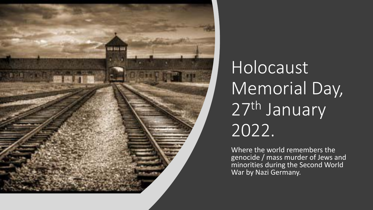

Holocaust Memorial Day, 27th January 2022.

Where the world remembers the genocide / mass murder of Jews and minorities during the Second World War by Nazi Germany.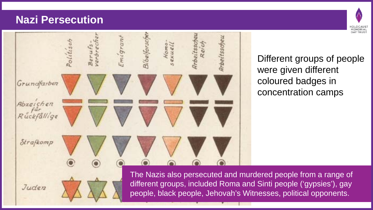#### **Nazi Persecution**

Juden



Different groups of people were given different coloured badges in concentration camps

HOLOCAUS<br>MEMORIAL **DAY TRUS** 

The Nazis also persecuted and murdered people from a range of different groups, included Roma and Sinti people ('gypsies'), gay people, black people, Jehovah's Witnesses, political opponents.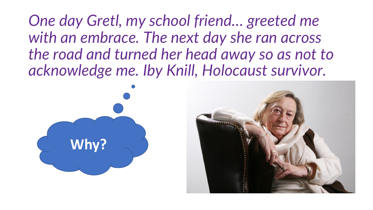*One day Gretl, my school friend… greeted me with an embrace. The next day she ran across the road and turned her head away so as not to acknowledge me. Iby Knill, Holocaust survivor.* 

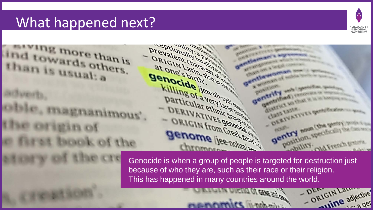## What happened next?



DRIGIN Lawredive

 $-$  D<sub>rn</sub>

**CENE STY CARD** 



because of who they are, such as their race or their religion. This has happened in many countries around the world.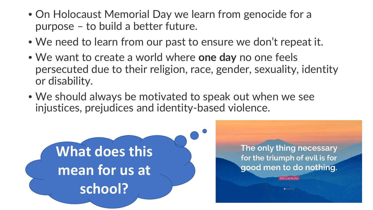- On Holocaust Memorial Day we learn from genocide for a purpose – to build a better future.
- We need to learn from our past to ensure we don't repeat it.
- We want to create a world where **one day** no one feels persecuted due to their religion, race, gender, sexuality, identity or disability.
- We should always be motivated to speak out when we see injustices, prejudices and identity-based violence.



The only thing necessary for the triumph of evil is for good men to do nothing.

Edmund Burk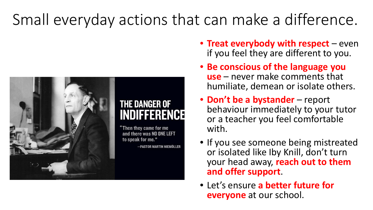# Small everyday actions that can make a difference.



### **THE DANGER OF INDIFFERENCE**

"Then thev came for me and there was NO ONE LEFT —PASTOR MARTIN NIEMÖLLEF

- **Treat everybody with respect**  even if you feel they are different to you.
- **Be conscious of the language you use** – never make comments that humiliate, demean or isolate others.
- **Don't be a bystander**  report behaviour immediately to your tutor or a teacher you feel comfortable with.
- If you see someone being mistreated or isolated like Iby Knill, don't turn your head away, **reach out to them and offer support**.
- Let's ensure **a better future for everyone** at our school.